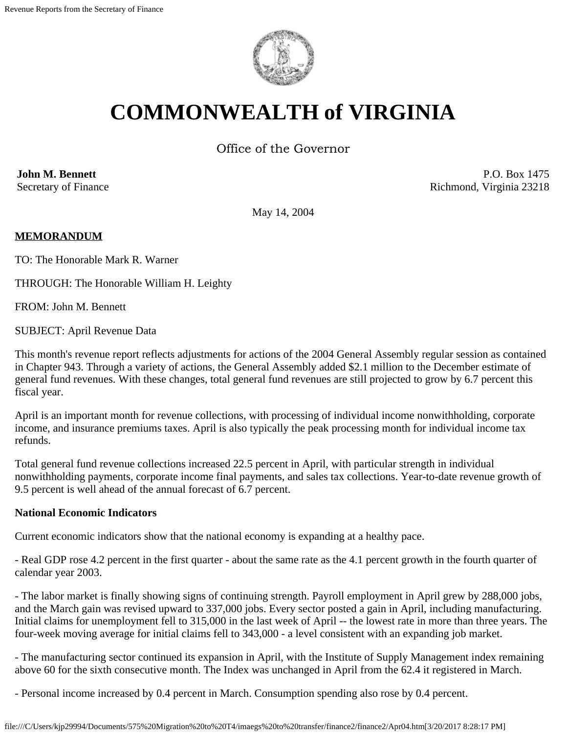

# **COMMONWEALTH of VIRGINIA**

Office of the Governor

**John M. Bennett** Secretary of Finance

P.O. Box 1475 Richmond, Virginia 23218

May 14, 2004

## **MEMORANDUM**

TO: The Honorable Mark R. Warner

THROUGH: The Honorable William H. Leighty

FROM: John M. Bennett

SUBJECT: April Revenue Data

This month's revenue report reflects adjustments for actions of the 2004 General Assembly regular session as contained in Chapter 943. Through a variety of actions, the General Assembly added \$2.1 million to the December estimate of general fund revenues. With these changes, total general fund revenues are still projected to grow by 6.7 percent this fiscal year.

April is an important month for revenue collections, with processing of individual income nonwithholding, corporate income, and insurance premiums taxes. April is also typically the peak processing month for individual income tax refunds.

Total general fund revenue collections increased 22.5 percent in April, with particular strength in individual nonwithholding payments, corporate income final payments, and sales tax collections. Year-to-date revenue growth of 9.5 percent is well ahead of the annual forecast of 6.7 percent.

#### **National Economic Indicators**

Current economic indicators show that the national economy is expanding at a healthy pace.

- Real GDP rose 4.2 percent in the first quarter - about the same rate as the 4.1 percent growth in the fourth quarter of calendar year 2003.

- The labor market is finally showing signs of continuing strength. Payroll employment in April grew by 288,000 jobs, and the March gain was revised upward to 337,000 jobs. Every sector posted a gain in April, including manufacturing. Initial claims for unemployment fell to 315,000 in the last week of April -- the lowest rate in more than three years. The four-week moving average for initial claims fell to 343,000 - a level consistent with an expanding job market.

- The manufacturing sector continued its expansion in April, with the Institute of Supply Management index remaining above 60 for the sixth consecutive month. The Index was unchanged in April from the 62.4 it registered in March.

- Personal income increased by 0.4 percent in March. Consumption spending also rose by 0.4 percent.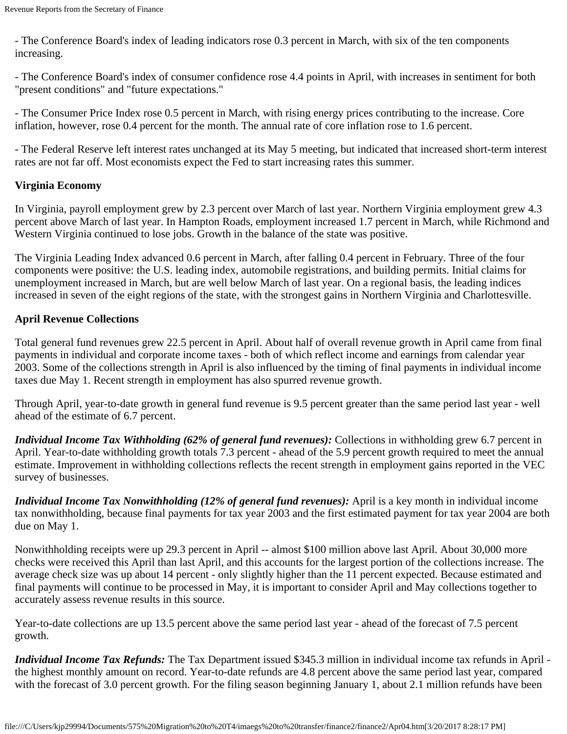- The Conference Board's index of leading indicators rose 0.3 percent in March, with six of the ten components increasing.

- The Conference Board's index of consumer confidence rose 4.4 points in April, with increases in sentiment for both "present conditions" and "future expectations."

- The Consumer Price Index rose 0.5 percent in March, with rising energy prices contributing to the increase. Core inflation, however, rose 0.4 percent for the month. The annual rate of core inflation rose to 1.6 percent.

- The Federal Reserve left interest rates unchanged at its May 5 meeting, but indicated that increased short-term interest rates are not far off. Most economists expect the Fed to start increasing rates this summer.

## **Virginia Economy**

In Virginia, payroll employment grew by 2.3 percent over March of last year. Northern Virginia employment grew 4.3 percent above March of last year. In Hampton Roads, employment increased 1.7 percent in March, while Richmond and Western Virginia continued to lose jobs. Growth in the balance of the state was positive.

The Virginia Leading Index advanced 0.6 percent in March, after falling 0.4 percent in February. Three of the four components were positive: the U.S. leading index, automobile registrations, and building permits. Initial claims for unemployment increased in March, but are well below March of last year. On a regional basis, the leading indices increased in seven of the eight regions of the state, with the strongest gains in Northern Virginia and Charlottesville.

## **April Revenue Collections**

Total general fund revenues grew 22.5 percent in April. About half of overall revenue growth in April came from final payments in individual and corporate income taxes - both of which reflect income and earnings from calendar year 2003. Some of the collections strength in April is also influenced by the timing of final payments in individual income taxes due May 1. Recent strength in employment has also spurred revenue growth.

Through April, year-to-date growth in general fund revenue is 9.5 percent greater than the same period last year - well ahead of the estimate of 6.7 percent.

*Individual Income Tax Withholding (62% of general fund revenues):* Collections in withholding grew 6.7 percent in April. Year-to-date withholding growth totals 7.3 percent - ahead of the 5.9 percent growth required to meet the annual estimate. Improvement in withholding collections reflects the recent strength in employment gains reported in the VEC survey of businesses.

*Individual Income Tax Nonwithholding (12% of general fund revenues):* April is a key month in individual income tax nonwithholding, because final payments for tax year 2003 and the first estimated payment for tax year 2004 are both due on May 1.

Nonwithholding receipts were up 29.3 percent in April -- almost \$100 million above last April. About 30,000 more checks were received this April than last April, and this accounts for the largest portion of the collections increase. The average check size was up about 14 percent - only slightly higher than the 11 percent expected. Because estimated and final payments will continue to be processed in May, it is important to consider April and May collections together to accurately assess revenue results in this source.

Year-to-date collections are up 13.5 percent above the same period last year - ahead of the forecast of 7.5 percent growth.

*Individual Income Tax Refunds:* The Tax Department issued \$345.3 million in individual income tax refunds in April the highest monthly amount on record. Year-to-date refunds are 4.8 percent above the same period last year, compared with the forecast of 3.0 percent growth. For the filing season beginning January 1, about 2.1 million refunds have been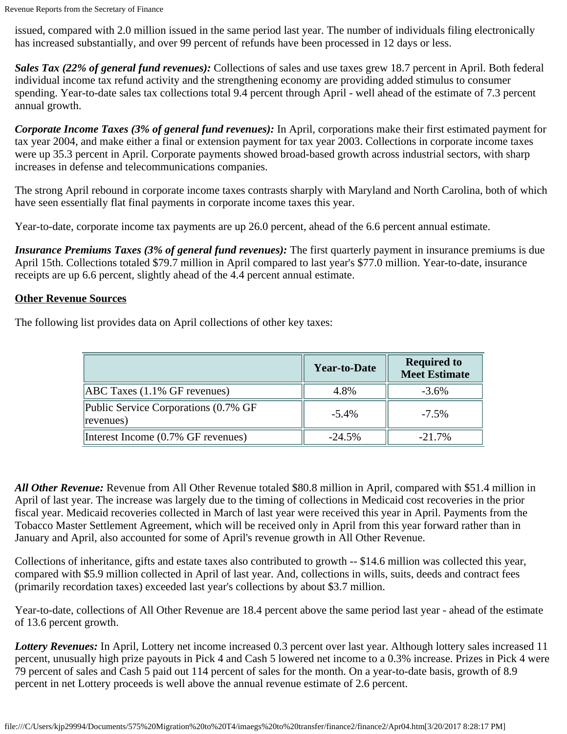issued, compared with 2.0 million issued in the same period last year. The number of individuals filing electronically has increased substantially, and over 99 percent of refunds have been processed in 12 days or less.

*Sales Tax (22% of general fund revenues):* Collections of sales and use taxes grew 18.7 percent in April. Both federal individual income tax refund activity and the strengthening economy are providing added stimulus to consumer spending. Year-to-date sales tax collections total 9.4 percent through April - well ahead of the estimate of 7.3 percent annual growth.

*Corporate Income Taxes (3% of general fund revenues):* In April, corporations make their first estimated payment for tax year 2004, and make either a final or extension payment for tax year 2003. Collections in corporate income taxes were up 35.3 percent in April. Corporate payments showed broad-based growth across industrial sectors, with sharp increases in defense and telecommunications companies.

The strong April rebound in corporate income taxes contrasts sharply with Maryland and North Carolina, both of which have seen essentially flat final payments in corporate income taxes this year.

Year-to-date, corporate income tax payments are up 26.0 percent, ahead of the 6.6 percent annual estimate.

*Insurance Premiums Taxes (3% of general fund revenues):* The first quarterly payment in insurance premiums is due April 15th. Collections totaled \$79.7 million in April compared to last year's \$77.0 million. Year-to-date, insurance receipts are up 6.6 percent, slightly ahead of the 4.4 percent annual estimate.

#### **Other Revenue Sources**

The following list provides data on April collections of other key taxes:

|                                                   | <b>Year-to-Date</b> | <b>Required to</b><br><b>Meet Estimate</b> |
|---------------------------------------------------|---------------------|--------------------------------------------|
| $[ABC$ Taxes $(1.1\%$ GF revenues)                | 4.8%                | $-3.6\%$                                   |
| Public Service Corporations (0.7% GF<br>revenues) | $-5.4\%$            | $-7.5\%$                                   |
| Interest Income (0.7% GF revenues)                | $-24.5\%$           | $-21.7\%$                                  |

*All Other Revenue:* Revenue from All Other Revenue totaled \$80.8 million in April, compared with \$51.4 million in April of last year. The increase was largely due to the timing of collections in Medicaid cost recoveries in the prior fiscal year. Medicaid recoveries collected in March of last year were received this year in April. Payments from the Tobacco Master Settlement Agreement, which will be received only in April from this year forward rather than in January and April, also accounted for some of April's revenue growth in All Other Revenue.

Collections of inheritance, gifts and estate taxes also contributed to growth -- \$14.6 million was collected this year, compared with \$5.9 million collected in April of last year. And, collections in wills, suits, deeds and contract fees (primarily recordation taxes) exceeded last year's collections by about \$3.7 million.

Year-to-date, collections of All Other Revenue are 18.4 percent above the same period last year - ahead of the estimate of 13.6 percent growth.

*Lottery Revenues:* In April, Lottery net income increased 0.3 percent over last year. Although lottery sales increased 11 percent, unusually high prize payouts in Pick 4 and Cash 5 lowered net income to a 0.3% increase. Prizes in Pick 4 were 79 percent of sales and Cash 5 paid out 114 percent of sales for the month. On a year-to-date basis, growth of 8.9 percent in net Lottery proceeds is well above the annual revenue estimate of 2.6 percent.